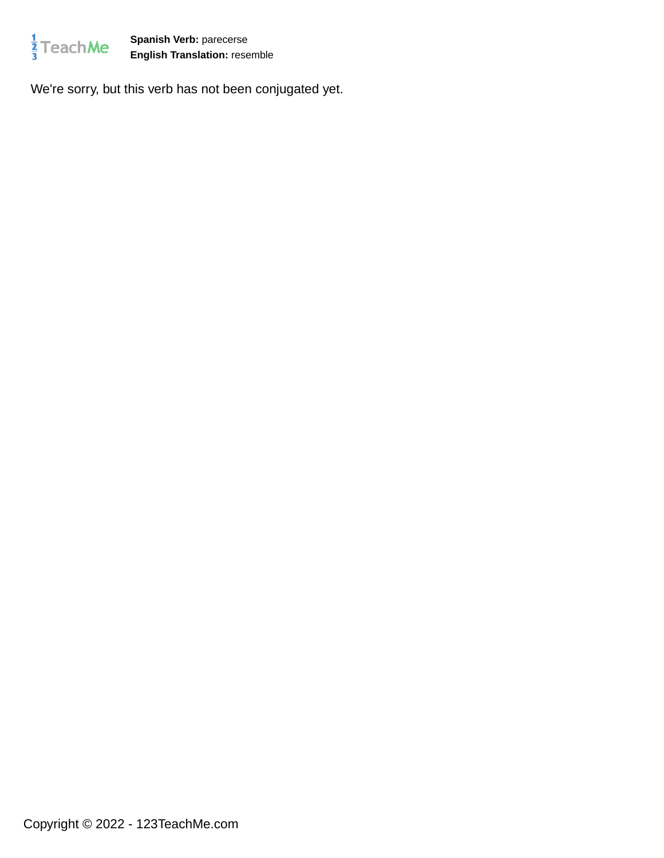

**Spanish Verb:** parecerse **English Translation:** resemble

We're sorry, but this verb has not been conjugated yet.